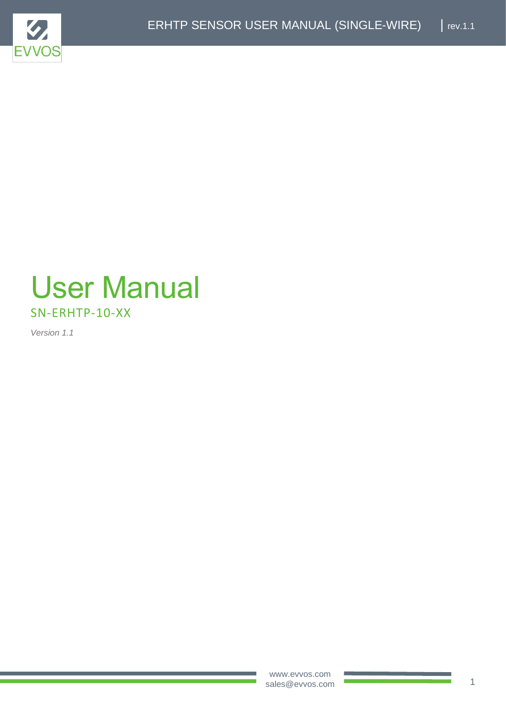

# User Manual SN-ERHTP-10-XX

*Version 1.1*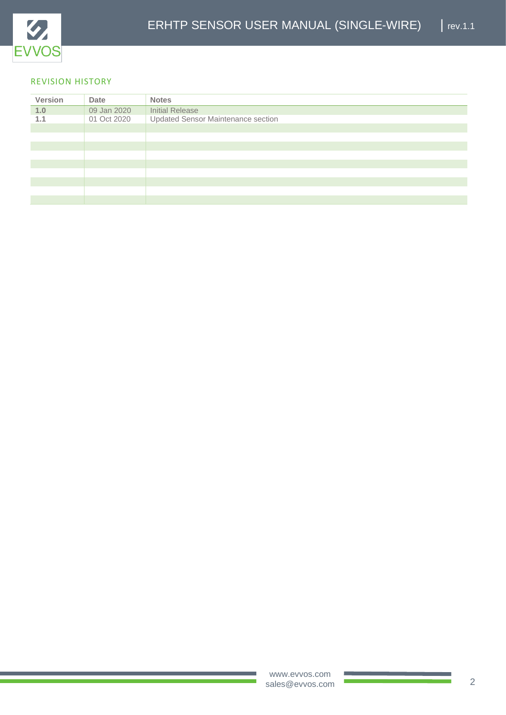

#### REVISION HISTORY

| <b>Version</b> | Date        | <b>Notes</b>                       |
|----------------|-------------|------------------------------------|
| 1.0            | 09 Jan 2020 | Initial Release                    |
| 1.1            | 01 Oct 2020 | Updated Sensor Maintenance section |
|                |             |                                    |
|                |             |                                    |
|                |             |                                    |
|                |             |                                    |
|                |             |                                    |
|                |             |                                    |
|                |             |                                    |
|                |             |                                    |
|                |             |                                    |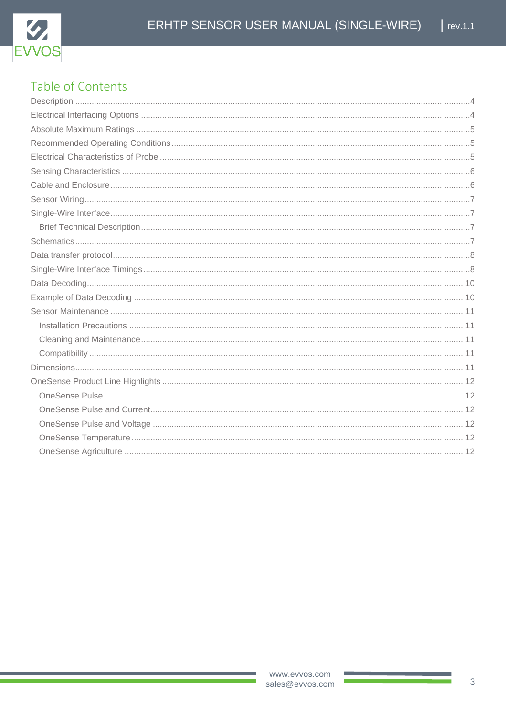

#### Table of Contents **Deparintion**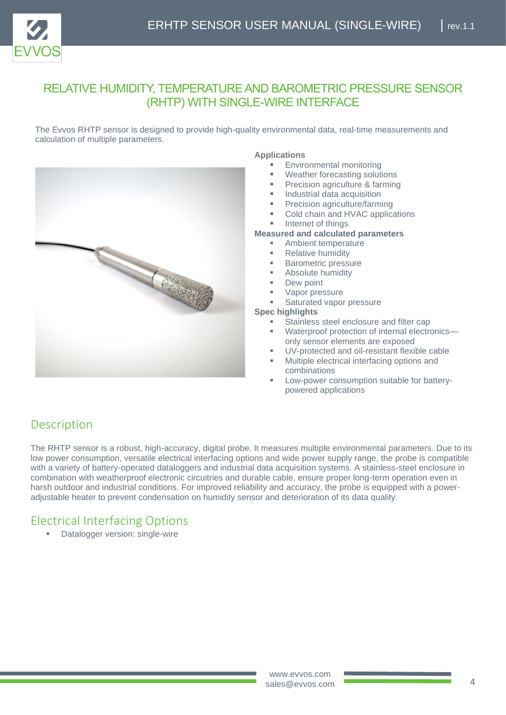

#### RELATIVE HUMIDITY, TEMPERATURE AND BAROMETRIC PRESSURE SENSOR (RHTP) WITH SINGLE-WIRE INTERFACE

The Evvos RHTP sensor is designed to provide high-quality environmental data, real-time measurements and calculation of multiple parameters.



#### **Applications**

- Environmental monitoring
- Weather forecasting solutions
- Precision agriculture & farming
- Industrial data acquisition
- Precision agriculture/farming
- Cold chain and HVAC applications
- Internet of things

#### **Measured and calculated parameters**

- Ambient temperature
- **Relative humidity**
- **Barometric pressure**
- Absolute humidity
- Dew point
- Vapor pressure
- Saturated vapor pressure

#### **Spec highlights**

- Stainless steel enclosure and filter cap
- Waterproof protection of internal electronicsonly sensor elements are exposed
- UV-protected and oil-resistant flexible cable
- Multiple electrical interfacing options and combinations
- Low-power consumption suitable for batterypowered applications

## <span id="page-3-0"></span>**Description**

The RHTP sensor is a robust, high-accuracy, digital probe. It measures multiple environmental parameters. Due to its low power consumption, versatile electrical interfacing options and wide power supply range, the probe is compatible with a variety of battery-operated dataloggers and industrial data acquisition systems. A stainless-steel enclosure in combination with weatherproof electronic circuitries and durable cable, ensure proper long-term operation even in harsh outdoor and industrial conditions. For improved reliability and accuracy, the probe is equipped with a poweradjustable heater to prevent condensation on humidity sensor and deterioration of its data quality.

#### <span id="page-3-1"></span>Electrical Interfacing Options

**Datalogger version: single-wire**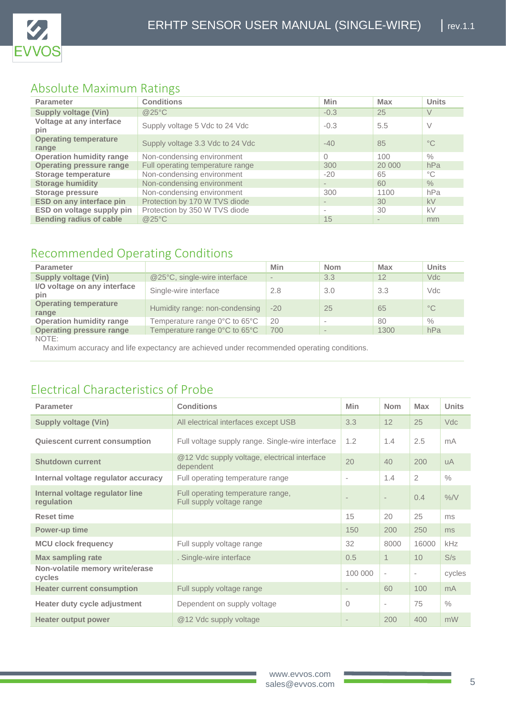

## <span id="page-4-0"></span>Absolute Maximum Ratings

| <b>Parameter</b>                      | <b>Conditions</b>                | Min                      | <b>Max</b>              | <b>Units</b>  |
|---------------------------------------|----------------------------------|--------------------------|-------------------------|---------------|
| <b>Supply voltage (Vin)</b>           | @25°C                            | $-0.3$                   | 25                      | V             |
| Voltage at any interface<br>pin       | Supply voltage 5 Vdc to 24 Vdc   | $-0.3$                   | 5.5                     | V             |
| <b>Operating temperature</b><br>range | Supply voltage 3.3 Vdc to 24 Vdc | $-40$                    | 85                      | $^{\circ}C$   |
| <b>Operation humidity range</b>       | Non-condensing environment       |                          | 100                     | $\%$          |
| <b>Operating pressure range</b>       | Full operating temperature range | 300                      | 20 000                  | hPa           |
| <b>Storage temperature</b>            | Non-condensing environment       | $-20$                    | 65                      | $^{\circ}$ C  |
| <b>Storage humidity</b>               | Non-condensing environment       | $\overline{\phantom{a}}$ | 60                      | $\frac{0}{6}$ |
| Storage pressure                      | Non-condensing environment       | 300                      | 1100                    | hPa           |
| <b>ESD on any interface pin</b>       | Protection by 170 W TVS diode    |                          | 30                      | kV            |
| ESD on voltage supply pin             | Protection by 350 W TVS diode    | $\sim$                   | 30                      | kV            |
| <b>Bending radius of cable</b>        | @25°C                            | 15                       | $\qquad \qquad =\qquad$ | mm            |

## <span id="page-4-1"></span>Recommended Operating Conditions

| <b>Parameter</b>                      |                                | Min                      | <b>Nom</b> | Max  | <b>Units</b>  |
|---------------------------------------|--------------------------------|--------------------------|------------|------|---------------|
| <b>Supply voltage (Vin)</b>           | @25°C, single-wire interface   | $\overline{\phantom{a}}$ | 3.3        | 12   | Vdc           |
| I/O voltage on any interface<br>pin   | Single-wire interface          | 2.8                      | 3.0        | 3.3  | Vdc           |
| <b>Operating temperature</b><br>range | Humidity range: non-condensing | $-20$                    | 25         | 65   | $^{\circ}$ C  |
| <b>Operation humidity range</b>       | Temperature range 0°C to 65°C  | 20                       |            | 80   | $\frac{0}{0}$ |
| <b>Operating pressure range</b>       | Temperature range 0°C to 65°C  | 700                      |            | 1300 | hPa           |
| $\lambda$ $\cap$ $\top$ $\Gamma$ .    |                                |                          |            |      |               |

NOTE:

Maximum accuracy and life expectancy are achieved under recommended operating conditions.

## <span id="page-4-2"></span>Electrical Characteristics of Probe

| <b>Parameter</b>                              | <b>Conditions</b>                                              | <b>Min</b>        | <b>Nom</b>               | <b>Max</b>               | <b>Units</b>   |
|-----------------------------------------------|----------------------------------------------------------------|-------------------|--------------------------|--------------------------|----------------|
| <b>Supply voltage (Vin)</b>                   | All electrical interfaces except USB                           | 3.3               | 12                       | 25                       | <b>Vdc</b>     |
| <b>Quiescent current consumption</b>          | Full voltage supply range. Single-wire interface               | 1.2               | 1.4                      | 2.5                      | mA             |
| <b>Shutdown current</b>                       | @12 Vdc supply voltage, electrical interface<br>dependent      | 20                | 40                       | 200                      | <b>uA</b>      |
| Internal voltage regulator accuracy           | Full operating temperature range                               | $\sim$            | 1.4                      | $\overline{2}$           | $\frac{0}{0}$  |
| Internal voltage regulator line<br>regulation | Full operating temperature range,<br>Full supply voltage range |                   | $\overline{\phantom{0}}$ | 0.4                      | $\%$ /V        |
| <b>Reset time</b>                             |                                                                | 15                | 20                       | 25                       | ms             |
| Power-up time                                 |                                                                | 150               | 200                      | 250                      | ms             |
| <b>MCU clock frequency</b>                    | Full supply voltage range                                      | 32                | 8000                     | 16000                    | <b>kHz</b>     |
| <b>Max sampling rate</b>                      | . Single-wire interface                                        | 0.5               | $\mathbf 1$              | 10                       | S/s            |
| Non-volatile memory write/erase<br>cycles     |                                                                | 100 000           | $\overline{\phantom{a}}$ | $\overline{\phantom{a}}$ | cycles         |
| <b>Heater current consumption</b>             | Full supply voltage range                                      | $\qquad \qquad =$ | 60                       | 100                      | m <sub>A</sub> |
| Heater duty cycle adjustment                  | Dependent on supply voltage                                    | $\Omega$          | $\qquad \qquad =\qquad$  | 75                       | $\frac{0}{0}$  |
| <b>Heater output power</b>                    | @12 Vdc supply voltage                                         |                   | 200                      | 400                      | mW             |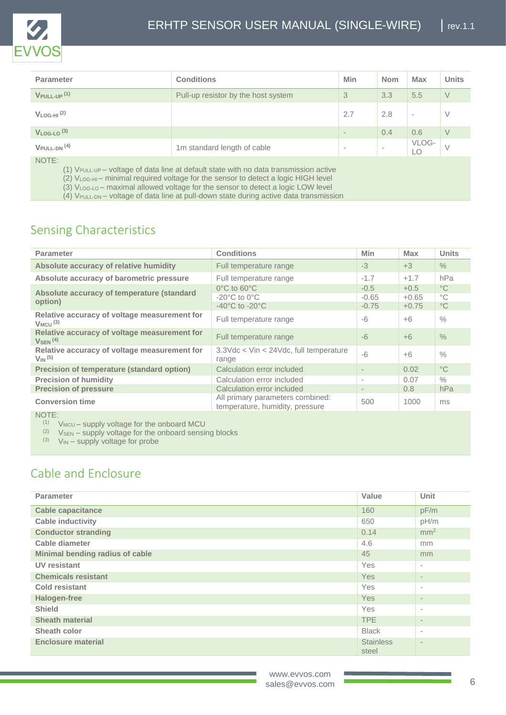

| <b>Parameter</b>                    | <b>Conditions</b>                   | Min                      | <b>Nom</b>               | <b>Max</b> | <b>Units</b> |
|-------------------------------------|-------------------------------------|--------------------------|--------------------------|------------|--------------|
| $V$ PULL-UP $(1)$                   | Pull-up resistor by the host system | 3                        | 3.3                      | 5.5        | V            |
| $V_{LOG-HI}$ <sup>(2)</sup>         |                                     | 2.7                      | 2.8                      | $\sim$     | V            |
| $V_{LOG-LO}$ (3)                    |                                     | $\qquad \qquad$          | 0.4                      | 0.6        | V            |
| $V_{\text{PULL-DN}}$ <sup>(4)</sup> | 1m standard length of cable         | $\overline{\phantom{a}}$ | $\overline{\phantom{a}}$ | VLOG-      | $\vee$       |
| NOTE:                               |                                     |                          |                          |            |              |

(1) VPULL-UP – voltage of data line at default state with no data transmission active

(2) VLOG-HI – minimal required voltage for the sensor to detect a logic HIGH level

(3) VLOG-LO – maximal allowed voltage for the sensor to detect a logic LOW level

(4) VPULL-DN – voltage of data line at pull-down state during active data transmission

## <span id="page-5-0"></span>Sensing Characteristics

| <b>Parameter</b>                                                         | <b>Conditions</b>                                                                                          | <b>Min</b>                   | <b>Max</b>                   | <b>Units</b>                                |
|--------------------------------------------------------------------------|------------------------------------------------------------------------------------------------------------|------------------------------|------------------------------|---------------------------------------------|
| Absolute accuracy of relative humidity                                   | Full temperature range                                                                                     | $-3$                         | $+3$                         | $\frac{0}{0}$                               |
| Absolute accuracy of barometric pressure                                 | Full temperature range                                                                                     | $-1.7$                       | $+1.7$                       | hPa                                         |
| Absolute accuracy of temperature (standard<br>option)                    | $0^{\circ}$ C to 60 $^{\circ}$ C<br>$-20^{\circ}$ C to $0^{\circ}$ C<br>$-40^{\circ}$ C to $-20^{\circ}$ C | $-0.5$<br>$-0.65$<br>$-0.75$ | $+0.5$<br>$+0.65$<br>$+0.75$ | $^{\circ}$ C<br>$^{\circ}$ C<br>$^{\circ}C$ |
| Relative accuracy of voltage measurement for<br>$V_{MCU}$ <sup>(3)</sup> | Full temperature range                                                                                     | $-6$                         | $+6$                         | $\%$                                        |
| Relative accuracy of voltage measurement for<br>$V_{SEN}$ <sup>(4)</sup> | Full temperature range                                                                                     | $-6$                         | $+6$                         | $\frac{0}{0}$                               |
| Relative accuracy of voltage measurement for<br>$V_{IN}$ (5)             | 3.3Vdc < Vin < 24Vdc, full temperature<br>range                                                            | $-6$                         | $+6$                         | $\frac{0}{0}$                               |
| <b>Precision of temperature (standard option)</b>                        | Calculation error included                                                                                 |                              | 0.02                         | $^{\circ}C$                                 |
| <b>Precision of humidity</b>                                             | Calculation error included                                                                                 | $\overline{\phantom{a}}$     | 0.07                         | $\frac{0}{0}$                               |
| <b>Precision of pressure</b>                                             | Calculation error included                                                                                 | $\overline{\phantom{a}}$     | 0.8                          | hPa                                         |
| <b>Conversion time</b>                                                   | All primary parameters combined:<br>temperature, humidity, pressure                                        | 500                          | 1000                         | ms                                          |

NOTE:

 $(V_{MCU} -$  supply voltage for the onboard MCU

 $(2)$  V<sub>SEN</sub> – supply voltage for the onboard sensing blocks

 $(V_{IN} - supply$  voltage for probe

## <span id="page-5-1"></span>Cable and Enclosure

| <b>Parameter</b>                | Value                     | Unit                     |
|---------------------------------|---------------------------|--------------------------|
| <b>Cable capacitance</b>        | 160                       | pF/m                     |
| <b>Cable inductivity</b>        | 650                       | pH/m                     |
| <b>Conductor stranding</b>      | 0.14                      | mm <sup>2</sup>          |
| Cable diameter                  | 4.6                       | mm                       |
| Minimal bending radius of cable | 45                        | mm                       |
| <b>UV resistant</b>             | Yes                       | $\sim$                   |
| <b>Chemicals resistant</b>      | Yes                       | $\overline{\phantom{a}}$ |
| <b>Cold resistant</b>           | Yes                       | $\sim$                   |
| <b>Halogen-free</b>             | Yes                       | $\overline{\phantom{a}}$ |
| <b>Shield</b>                   | Yes                       | $\sim$                   |
| <b>Sheath material</b>          | TPE                       | $\overline{\phantom{a}}$ |
| Sheath color                    | <b>Black</b>              | $\sim$                   |
| <b>Enclosure material</b>       | <b>Stainless</b><br>steel | $\qquad \qquad$          |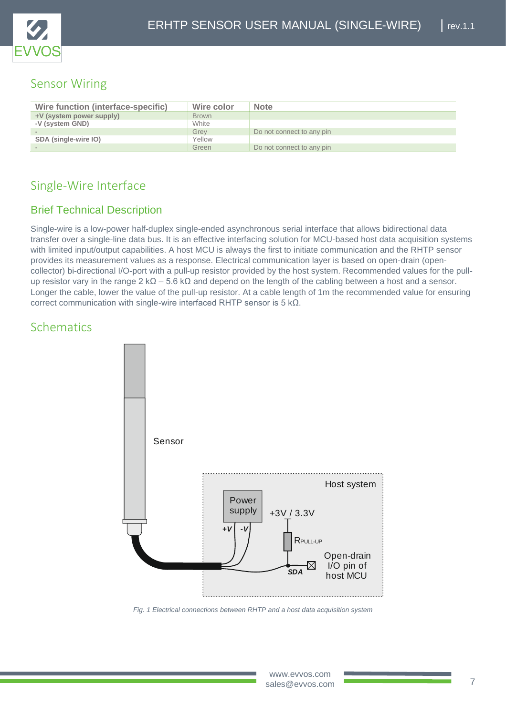

## <span id="page-6-0"></span>Sensor Wiring

| Wire function (interface-specific) | Wire color   | <b>Note</b>               |
|------------------------------------|--------------|---------------------------|
| +V (system power supply)           | <b>Brown</b> |                           |
| -V (system GND)                    | White        |                           |
|                                    | Grev         | Do not connect to any pin |
| SDA (single-wire IO)               | Yellow       |                           |
|                                    | Green        | Do not connect to any pin |

## <span id="page-6-1"></span>Single-Wire Interface

#### <span id="page-6-2"></span>Brief Technical Description

Single-wire is a low-power half-duplex single-ended asynchronous serial interface that allows bidirectional data transfer over a single-line data bus. It is an effective interfacing solution for MCU-based host data acquisition systems with limited input/output capabilities. A host MCU is always the first to initiate communication and the RHTP sensor provides its measurement values as a response. Electrical communication layer is based on open-drain (opencollector) bi-directional I/O-port with a pull-up resistor provided by the host system. Recommended values for the pullup resistor vary in the range  $2 \text{ k}\Omega - 5.6 \text{ k}\Omega$  and depend on the length of the cabling between a host and a sensor. Longer the cable, lower the value of the pull-up resistor. At a cable length of 1m the recommended value for ensuring correct communication with single-wire interfaced RHTP sensor is 5 kΩ.

#### <span id="page-6-3"></span>**Schematics**



*Fig. 1 Electrical connections between RHTP and a host data acquisition system*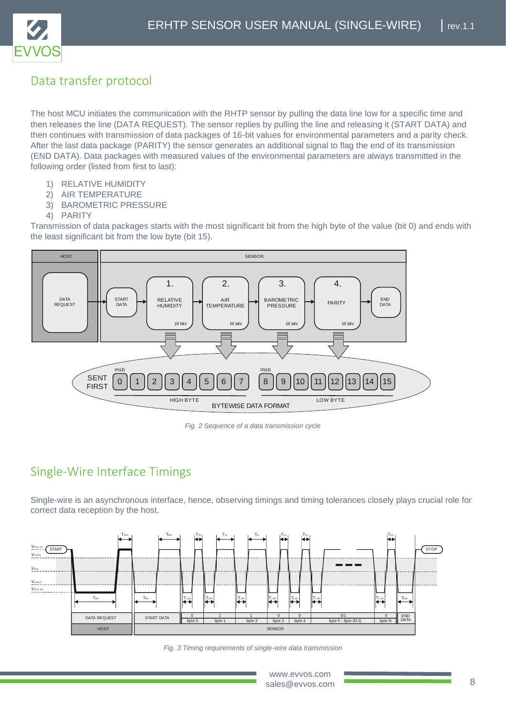

## <span id="page-7-0"></span>Data transfer protocol

The host MCU initiates the communication with the RHTP sensor by pulling the data line low for a specific time and then releases the line (DATA REQUEST). The sensor replies by pulling the line and releasing it (START DATA) and then continues with transmission of data packages of 16-bit values for environmental parameters and a parity check. After the last data package (PARITY) the sensor generates an additional signal to flag the end of its transmission (END DATA). Data packages with measured values of the environmental parameters are always transmitted in the following order (listed from first to last):

- 1) RELATIVE HUMIDITY
- 2) AIR TEMPERATURE
- 3) BAROMETRIC PRESSURE
- 4) PARITY

Transmission of data packages starts with the most significant bit from the high byte of the value (bit 0) and ends with the least significant bit from the low byte (bit 15).



*Fig. 2 Sequence of a data transmission cycle*

## <span id="page-7-1"></span>Single-Wire Interface Timings

Single-wire is an asynchronous interface, hence, observing timings and timing tolerances closely plays crucial role for correct data reception by the host.



*Fig. 3 Timing requirements of single-wire data transmission*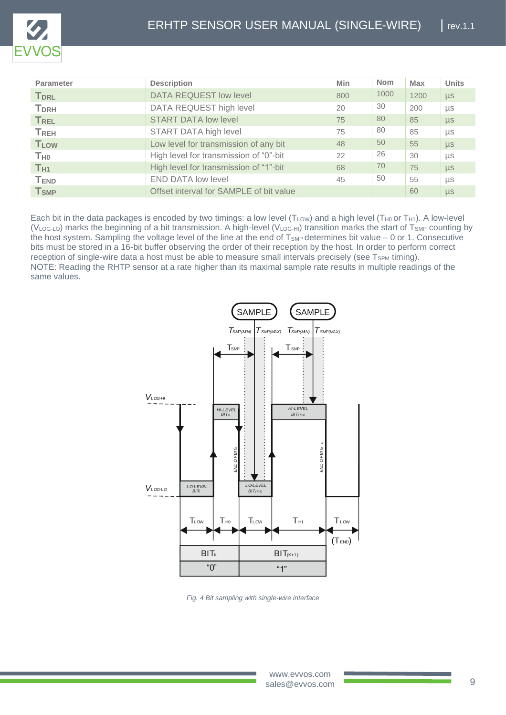

| <b>Parameter</b>        | <b>Description</b>                      | Min | <b>Nom</b> | <b>Max</b> | <b>Units</b> |
|-------------------------|-----------------------------------------|-----|------------|------------|--------------|
| <b>T</b> <sub>DRL</sub> | <b>DATA REQUEST low level</b>           | 800 | 1000       | 1200       | $\mu s$      |
| <b>T</b> <sub>DRH</sub> | DATA REQUEST high level                 | 20  | 30         | 200        | μs           |
| <b>TREL</b>             | <b>START DATA low level</b>             | 75  | 80         | 85         | $\mu s$      |
| <b>TREH</b>             | START DATA high level                   | 75  | 80         | 85         | μs           |
| <b>TLOW</b>             | Low level for transmission of any bit   | 48  | 50         | 55         | $\mu s$      |
| <b>T</b> <sub>H0</sub>  | High level for transmission of "0"-bit  | 22  | 26         | 30         | μs           |
| T <sub>H1</sub>         | High level for transmission of "1"-bit  | 68  | 70         | 75         | $\mu$ s      |
| <b>TEND</b>             | <b>END DATA low level</b>               | 45  | 50         | 55         | μs           |
| <b>T</b> <sub>SMP</sub> | Offset interval for SAMPLE of bit value |     |            | 60         | $\mu s$      |

Each bit in the data packages is encoded by two timings: a low level ( $T_{LOW}$ ) and a high level ( $T_{H0}$  or  $T_{H1}$ ). A low-level ( $V_{\text{LOG-LO}}$ ) marks the beginning of a bit transmission. A high-level ( $V_{\text{LOG-HI}}$ ) transition marks the start of T<sub>SMP</sub> counting by the host system. Sampling the voltage level of the line at the end of T<sub>SMP</sub> determines bit value – 0 or 1. Consecutive bits must be stored in a 16-bit buffer observing the order of their reception by the host. In order to perform correct reception of single-wire data a host must be able to measure small intervals precisely (see  $T_{SPM}$  timing). NOTE: Reading the RHTP sensor at a rate higher than its maximal sample rate results in multiple readings of the same values.



*Fig. 4 Bit sampling with single-wire interface*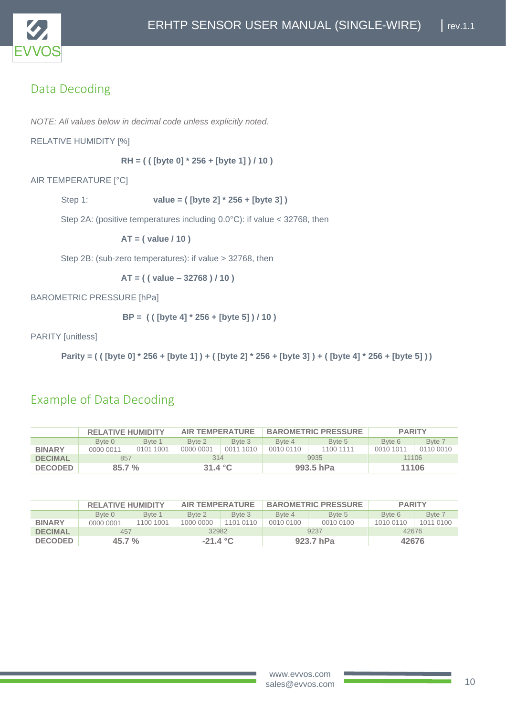

## <span id="page-9-0"></span>Data Decoding

*NOTE: All values below in decimal code unless explicitly noted.* 

RELATIVE HUMIDITY [%]

**RH = ( ( [byte 0] \* 256 + [byte 1] ) / 10 )**

AIR TEMPERATURE [°C]

Step 1: **value = ( [byte 2] \* 256 + [byte 3] )**

Step 2A: (positive temperatures including 0.0°C): if value < 32768, then

**AT = ( value / 10 )**

Step 2B: (sub-zero temperatures): if value > 32768, then

**AT = ( ( value – 32768 ) / 10 )** 

BAROMETRIC PRESSURE [hPa]

**BP = ( ( [byte 4] \* 256 + [byte 5] ) / 10 )**

PARITY [unitless]

**Parity = ( ( [byte 0] \* 256 + [byte 1] ) + ( [byte 2] \* 256 + [byte 3] ) + ( [byte 4] \* 256 + [byte 5] ) )**

#### <span id="page-9-1"></span>Example of Data Decoding

|                | <b>RELATIVE HUMIDITY</b> |           | <b>AIR TEMPERATURE</b> |           | <b>BAROMETRIC PRESSURE</b> |           | <b>PARITY</b> |           |
|----------------|--------------------------|-----------|------------------------|-----------|----------------------------|-----------|---------------|-----------|
|                | Byte 0                   | Byte 1    | Byte 2                 | Byte 3    | Byte 4                     | Byte 5    | Byte 6        | Byte 7    |
| <b>BINARY</b>  | 0000 0011                | 0101 1001 | 0000 0001              | 0011 1010 | 0010 0110                  | 1100 1111 | 0010 1011     | 0110 0010 |
| <b>DECIMAL</b> | 857                      |           | 314                    |           | 9935                       |           | 11106         |           |
| <b>DECODED</b> | 85.7%                    |           | 31.4 $^{\circ}$ C      |           | 993.5 hPa                  |           | 11106         |           |

|                | <b>RELATIVE HUMIDITY</b> |           | <b>AIR TEMPERATURE</b> |           | <b>BAROMETRIC PRESSURE</b> |           | <b>PARITY</b> |           |  |
|----------------|--------------------------|-----------|------------------------|-----------|----------------------------|-----------|---------------|-----------|--|
|                | Byte 0                   | Byte 1    | Byte 2                 | Byte 3    | Byte 4                     | Byte 5    | Byte 6        | Byte 7    |  |
| <b>BINARY</b>  | 0000 0001                | 1100 1001 | 1000 0000              | 1101 0110 | 0010 0100                  | 0010 0100 | 1010 0110     | 1011 0100 |  |
| <b>DECIMAL</b> | 457                      |           |                        | 32982     |                            | 9237      |               | 42676     |  |
| <b>DECODED</b> | $45.7 \%$                |           | $-21.4 °C$             |           | 923.7 hPa                  |           | 42676         |           |  |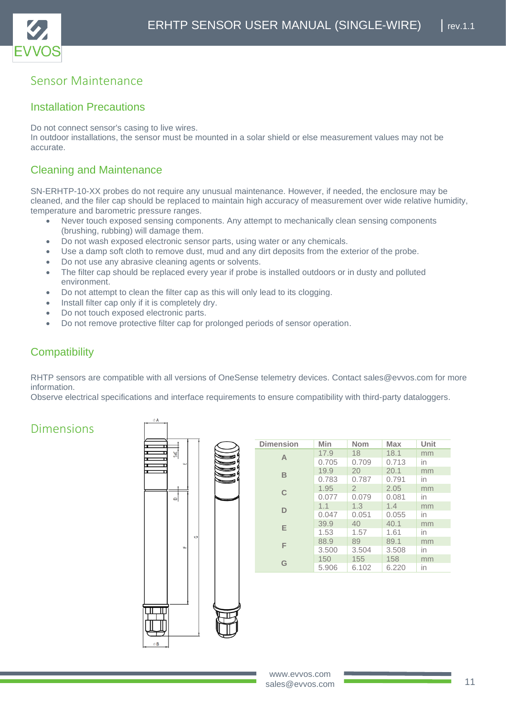

#### <span id="page-10-0"></span>Sensor Maintenance

#### <span id="page-10-1"></span>Installation Precautions

Do not connect sensor's casing to live wires.

In outdoor installations, the sensor must be mounted in a solar shield or else measurement values may not be accurate.

#### <span id="page-10-2"></span>Cleaning and Maintenance

SN-ERHTP-10-XX probes do not require any unusual maintenance. However, if needed, the enclosure may be cleaned, and the filer cap should be replaced to maintain high accuracy of measurement over wide relative humidity, temperature and barometric pressure ranges.

- Never touch exposed sensing components. Any attempt to mechanically clean sensing components (brushing, rubbing) will damage them.
- Do not wash exposed electronic sensor parts, using water or any chemicals.
- Use a damp soft cloth to remove dust, mud and any dirt deposits from the exterior of the probe.
- Do not use any abrasive cleaning agents or solvents.
- The filter cap should be replaced every year if probe is installed outdoors or in dusty and polluted environment.
- Do not attempt to clean the filter cap as this will only lead to its clogging.
- Install filter cap only if it is completely dry.
- Do not touch exposed electronic parts.
- Do not remove protective filter cap for prolonged periods of sensor operation.

#### <span id="page-10-3"></span>**Compatibility**

RHTP sensors are compatible with all versions of OneSense telemetry devices. Contact sales@evvos.com for more information.

Observe electrical specifications and interface requirements to ensure compatibility with third-party dataloggers.

#### <span id="page-10-4"></span>Dimensions



| <b>Dimension</b> | Min   | <b>Nom</b>     | <b>Max</b> | Unit |
|------------------|-------|----------------|------------|------|
| $\mathsf{A}$     | 17.9  | 18             | 18.1       | mm   |
|                  | 0.705 | 0.709          | 0.713      | in   |
| B                | 19.9  | 20             | 20.1       | mm   |
|                  | 0.783 | 0.787          | 0.791      | in   |
| $\mathsf{C}$     | 1.95  | $\overline{2}$ | 2.05       | mm   |
|                  | 0.077 | 0.079          | 0.081      | in   |
| D                | 1.1   | 1.3            | 1.4        | mm   |
|                  | 0.047 | 0.051          | 0.055      | in   |
| E                | 39.9  | 40             | 40.1       | mm   |
|                  | 1.53  | 1.57           | 1.61       | in   |
| F                | 88.9  | 89             | 89.1       | mm   |
|                  | 3.500 | 3.504          | 3.508      | in   |
| G                | 150   | 155            | 158        | mm   |
|                  | 5.906 | 6.102          | 6.220      | in   |